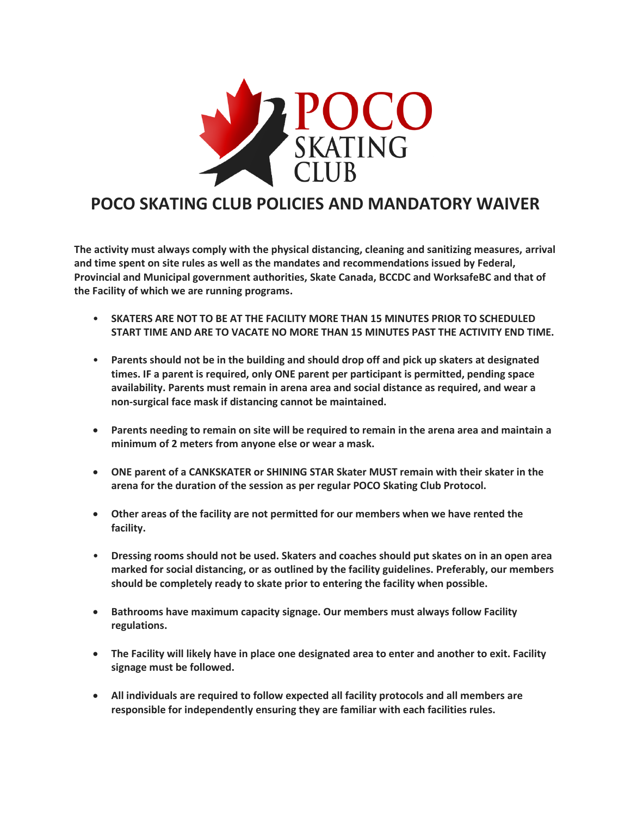

# **POCO SKATING CLUB POLICIES AND MANDATORY WAIVER**

**The activity must always comply with the physical distancing, cleaning and sanitizing measures, arrival and time spent on site rules as well as the mandates and recommendations issued by Federal, Provincial and Municipal government authorities, Skate Canada, BCCDC and WorksafeBC and that of the Facility of which we are running programs.**

- **SKATERS ARE NOT TO BE AT THE FACILITY MORE THAN 15 MINUTES PRIOR TO SCHEDULED START TIME AND ARE TO VACATE NO MORE THAN 15 MINUTES PAST THE ACTIVITY END TIME.**
- **Parents should not be in the building and should drop off and pick up skaters at designated times. IF a parent is required, only ONE parent per participant is permitted, pending space availability. Parents must remain in arena area and social distance as required, and wear a non-surgical face mask if distancing cannot be maintained.**
- **Parents needing to remain on site will be required to remain in the arena area and maintain a minimum of 2 meters from anyone else or wear a mask.**
- **ONE parent of a CANKSKATER or SHINING STAR Skater MUST remain with their skater in the arena for the duration of the session as per regular POCO Skating Club Protocol.**
- **Other areas of the facility are not permitted for our members when we have rented the facility.**
- **Dressing rooms should not be used. Skaters and coaches should put skates on in an open area marked for social distancing, or as outlined by the facility guidelines. Preferably, our members should be completely ready to skate prior to entering the facility when possible.**
- **Bathrooms have maximum capacity signage. Our members must always follow Facility regulations.**
- **The Facility will likely have in place one designated area to enter and another to exit. Facility signage must be followed.**
- **All individuals are required to follow expected all facility protocols and all members are responsible for independently ensuring they are familiar with each facilities rules.**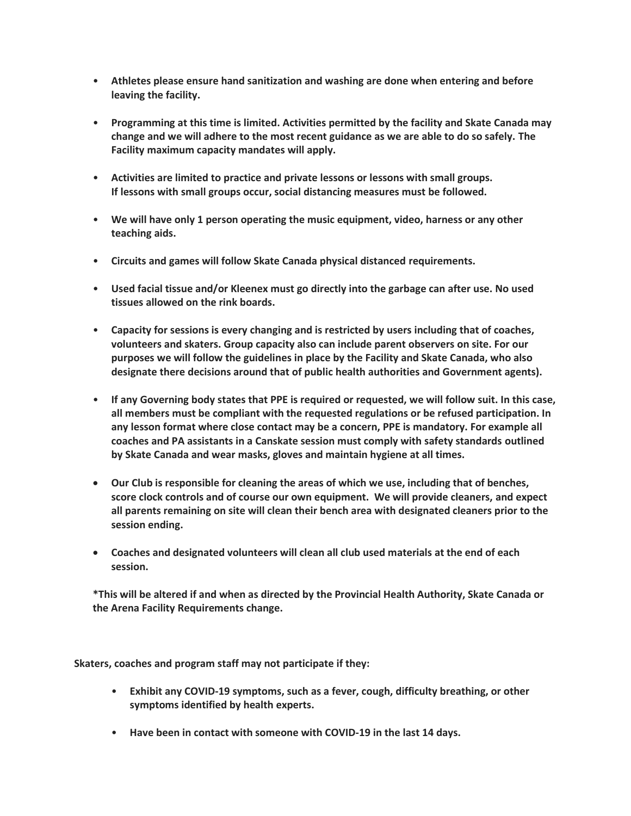- **Athletes please ensure hand sanitization and washing are done when entering and before leaving the facility.**
- **Programming at this time is limited. Activities permitted by the facility and Skate Canada may change and we will adhere to the most recent guidance as we are able to do so safely. The Facility maximum capacity mandates will apply.**
- **Activities are limited to practice and private lessons or lessons with small groups. If lessons with small groups occur, social distancing measures must be followed.**
- **We will have only 1 person operating the music equipment, video, harness or any other teaching aids.**
- **Circuits and games will follow Skate Canada physical distanced requirements.**
- **Used facial tissue and/or Kleenex must go directly into the garbage can after use. No used tissues allowed on the rink boards.**
- **Capacity for sessions is every changing and is restricted by users including that of coaches, volunteers and skaters. Group capacity also can include parent observers on site. For our purposes we will follow the guidelines in place by the Facility and Skate Canada, who also designate there decisions around that of public health authorities and Government agents).**
- **If any Governing body states that PPE is required or requested, we will follow suit. In this case, all members must be compliant with the requested regulations or be refused participation. In any lesson format where close contact may be a concern, PPE is mandatory. For example all coaches and PA assistants in a Canskate session must comply with safety standards outlined by Skate Canada and wear masks, gloves and maintain hygiene at all times.**
- **Our Club is responsible for cleaning the areas of which we use, including that of benches, score clock controls and of course our own equipment. We will provide cleaners, and expect all parents remaining on site will clean their bench area with designated cleaners prior to the session ending.**
- **Coaches and designated volunteers will clean all club used materials at the end of each session.**

**\*This will be altered if and when as directed by the Provincial Health Authority, Skate Canada or the Arena Facility Requirements change.** 

**Skaters, coaches and program staff may not participate if they:**

- **Exhibit any COVID-19 symptoms, such as a fever, cough, difficulty breathing, or other symptoms identified by health experts.**
- **Have been in contact with someone with COVID-19 in the last 14 days.**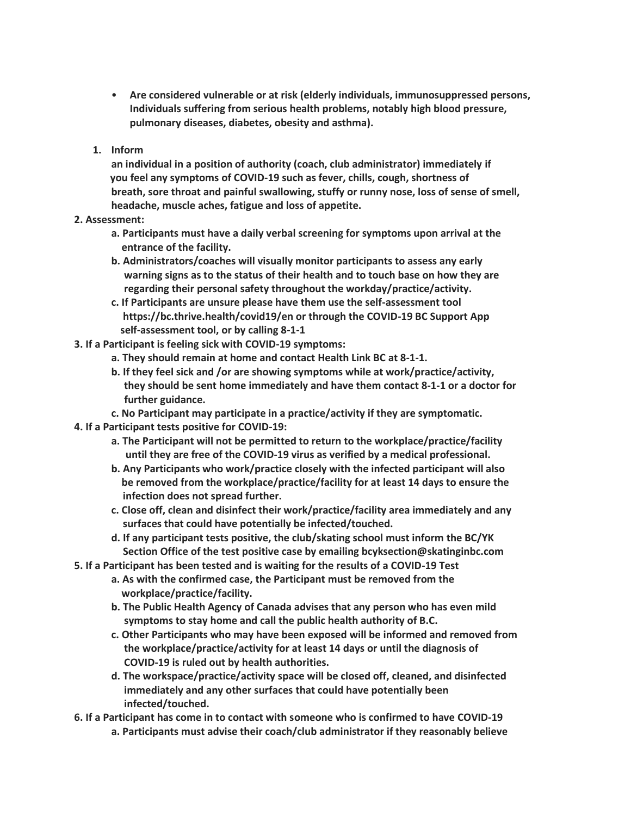- **Are considered vulnerable or at risk (elderly individuals, immunosuppressed persons, Individuals suffering from serious health problems, notably high blood pressure, pulmonary diseases, diabetes, obesity and asthma).**
- **1. Inform**

**an individual in a position of authority (coach, club administrator) immediately if you feel any symptoms of COVID-19 such as fever, chills, cough, shortness of breath, sore throat and painful swallowing, stuffy or runny nose, loss of sense of smell, headache, muscle aches, fatigue and loss of appetite.**

- **2. Assessment:**
	- **a. Participants must have a daily verbal screening for symptoms upon arrival at the entrance of the facility.**
	- **b. Administrators/coaches will visually monitor participants to assess any early warning signs as to the status of their health and to touch base on how they are regarding their personal safety throughout the workday/practice/activity.**
	- **c. If Participants are unsure please have them use the self-assessment tool https://bc.thrive.health/covid19/en or through the COVID-19 BC Support App self-assessment tool, or by calling 8-1-1**
- **3. If a Participant is feeling sick with COVID-19 symptoms:**
	- **a. They should remain at home and contact Health Link BC at 8-1-1.**
	- **b. If they feel sick and /or are showing symptoms while at work/practice/activity, they should be sent home immediately and have them contact 8-1-1 or a doctor for further guidance.**
	- **c. No Participant may participate in a practice/activity if they are symptomatic.**
- **4. If a Participant tests positive for COVID-19:**
	- **a. The Participant will not be permitted to return to the workplace/practice/facility until they are free of the COVID-19 virus as verified by a medical professional.**
	- **b. Any Participants who work/practice closely with the infected participant will also be removed from the workplace/practice/facility for at least 14 days to ensure the infection does not spread further.**
	- **c. Close off, clean and disinfect their work/practice/facility area immediately and any surfaces that could have potentially be infected/touched.**
	- **d. If any participant tests positive, the club/skating school must inform the BC/YK Section Office of the test positive case by emailing bcyksection@skatinginbc.com**
- **5. If a Participant has been tested and is waiting for the results of a COVID-19 Test**
	- **a. As with the confirmed case, the Participant must be removed from the workplace/practice/facility.**
	- **b. The Public Health Agency of Canada advises that any person who has even mild symptoms to stay home and call the public health authority of B.C.**
	- **c. Other Participants who may have been exposed will be informed and removed from the workplace/practice/activity for at least 14 days or until the diagnosis of COVID-19 is ruled out by health authorities.**
	- **d. The workspace/practice/activity space will be closed off, cleaned, and disinfected immediately and any other surfaces that could have potentially been infected/touched.**
- **6. If a Participant has come in to contact with someone who is confirmed to have COVID-19**
	- **a. Participants must advise their coach/club administrator if they reasonably believe**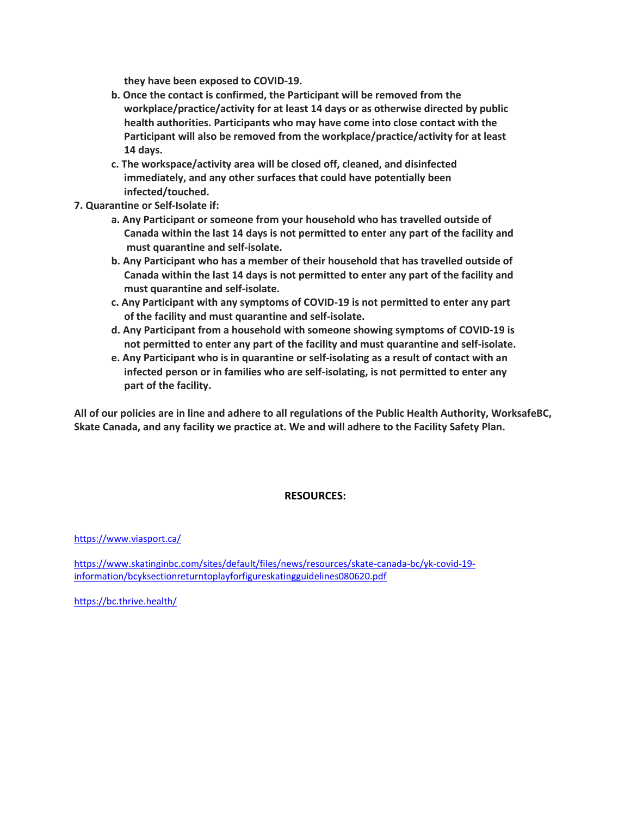**they have been exposed to COVID-19.**

- **b. Once the contact is confirmed, the Participant will be removed from the workplace/practice/activity for at least 14 days or as otherwise directed by public health authorities. Participants who may have come into close contact with the Participant will also be removed from the workplace/practice/activity for at least 14 days.**
- **c. The workspace/activity area will be closed off, cleaned, and disinfected immediately, and any other surfaces that could have potentially been infected/touched.**
- **7. Quarantine or Self-Isolate if:**
	- **a. Any Participant or someone from your household who has travelled outside of Canada within the last 14 days is not permitted to enter any part of the facility and must quarantine and self-isolate.**
	- **b. Any Participant who has a member of their household that has travelled outside of Canada within the last 14 days is not permitted to enter any part of the facility and must quarantine and self-isolate.**
	- **c. Any Participant with any symptoms of COVID-19 is not permitted to enter any part of the facility and must quarantine and self-isolate.**
	- **d. Any Participant from a household with someone showing symptoms of COVID-19 is not permitted to enter any part of the facility and must quarantine and self-isolate.**
	- **e. Any Participant who is in quarantine or self-isolating as a result of contact with an infected person or in families who are self-isolating, is not permitted to enter any part of the facility.**

**All of our policies are in line and adhere to all regulations of the Public Health Authority, WorksafeBC, Skate Canada, and any facility we practice at. We and will adhere to the Facility Safety Plan.** 

# **RESOURCES:**

<https://www.viasport.ca/>

[https://www.skatinginbc.com/sites/default/files/news/resources/skate-canada-bc/yk-covid-19](https://www.skatinginbc.com/sites/default/files/news/resources/skate-canada-bc/yk-covid-19-information/bcyksectionreturntoplayforfigureskatingguidelines080620.pdf) [information/bcyksectionreturntoplayforfigureskatingguidelines080620.pdf](https://www.skatinginbc.com/sites/default/files/news/resources/skate-canada-bc/yk-covid-19-information/bcyksectionreturntoplayforfigureskatingguidelines080620.pdf)

<https://bc.thrive.health/>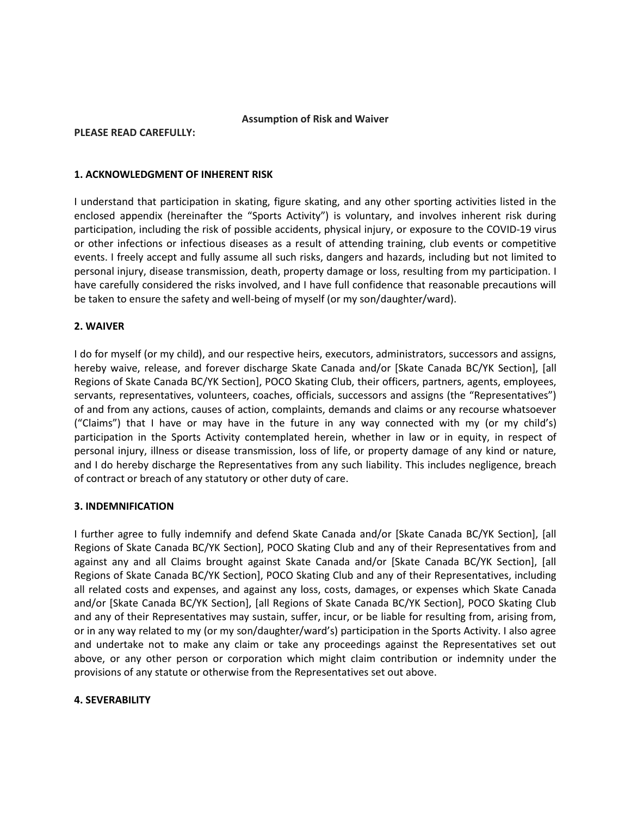# **Assumption of Risk and Waiver**

#### **PLEASE READ CAREFULLY:**

#### **1. ACKNOWLEDGMENT OF INHERENT RISK**

I understand that participation in skating, figure skating, and any other sporting activities listed in the enclosed appendix (hereinafter the "Sports Activity") is voluntary, and involves inherent risk during participation, including the risk of possible accidents, physical injury, or exposure to the COVID-19 virus or other infections or infectious diseases as a result of attending training, club events or competitive events. I freely accept and fully assume all such risks, dangers and hazards, including but not limited to personal injury, disease transmission, death, property damage or loss, resulting from my participation. I have carefully considered the risks involved, and I have full confidence that reasonable precautions will be taken to ensure the safety and well-being of myself (or my son/daughter/ward).

# **2. WAIVER**

I do for myself (or my child), and our respective heirs, executors, administrators, successors and assigns, hereby waive, release, and forever discharge Skate Canada and/or [Skate Canada BC/YK Section], [all Regions of Skate Canada BC/YK Section], POCO Skating Club, their officers, partners, agents, employees, servants, representatives, volunteers, coaches, officials, successors and assigns (the "Representatives") of and from any actions, causes of action, complaints, demands and claims or any recourse whatsoever ("Claims") that I have or may have in the future in any way connected with my (or my child's) participation in the Sports Activity contemplated herein, whether in law or in equity, in respect of personal injury, illness or disease transmission, loss of life, or property damage of any kind or nature, and I do hereby discharge the Representatives from any such liability. This includes negligence, breach of contract or breach of any statutory or other duty of care.

# **3. INDEMNIFICATION**

I further agree to fully indemnify and defend Skate Canada and/or [Skate Canada BC/YK Section], [all Regions of Skate Canada BC/YK Section], POCO Skating Club and any of their Representatives from and against any and all Claims brought against Skate Canada and/or [Skate Canada BC/YK Section], [all Regions of Skate Canada BC/YK Section], POCO Skating Club and any of their Representatives, including all related costs and expenses, and against any loss, costs, damages, or expenses which Skate Canada and/or [Skate Canada BC/YK Section], [all Regions of Skate Canada BC/YK Section], POCO Skating Club and any of their Representatives may sustain, suffer, incur, or be liable for resulting from, arising from, or in any way related to my (or my son/daughter/ward's) participation in the Sports Activity. I also agree and undertake not to make any claim or take any proceedings against the Representatives set out above, or any other person or corporation which might claim contribution or indemnity under the provisions of any statute or otherwise from the Representatives set out above.

# **4. SEVERABILITY**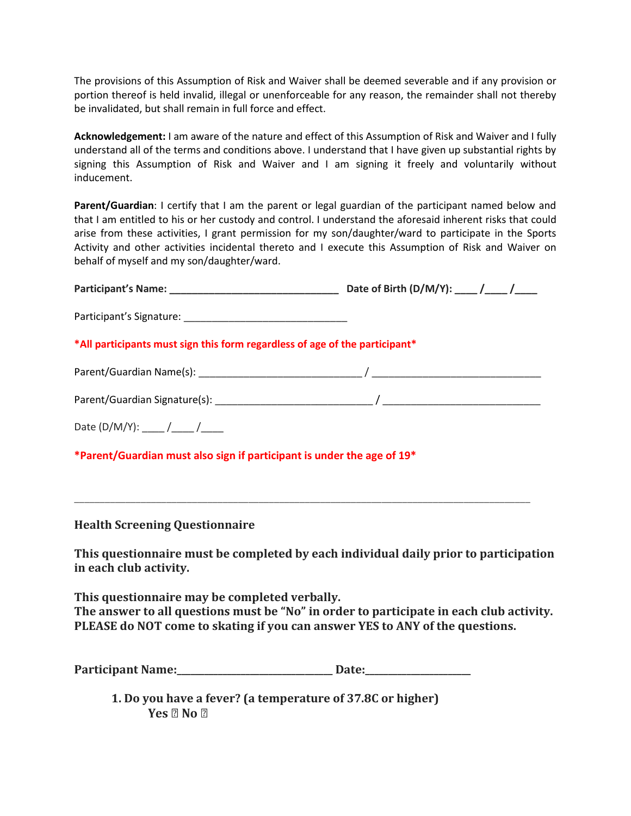The provisions of this Assumption of Risk and Waiver shall be deemed severable and if any provision or portion thereof is held invalid, illegal or unenforceable for any reason, the remainder shall not thereby be invalidated, but shall remain in full force and effect.

**Acknowledgement:** I am aware of the nature and effect of this Assumption of Risk and Waiver and I fully understand all of the terms and conditions above. I understand that I have given up substantial rights by signing this Assumption of Risk and Waiver and I am signing it freely and voluntarily without inducement.

**Parent/Guardian**: I certify that I am the parent or legal guardian of the participant named below and that I am entitled to his or her custody and control. I understand the aforesaid inherent risks that could arise from these activities, I grant permission for my son/daughter/ward to participate in the Sports Activity and other activities incidental thereto and I execute this Assumption of Risk and Waiver on behalf of myself and my son/daughter/ward.

| *All participants must sign this form regardless of age of the participant*                                                                                                                                              |  |
|--------------------------------------------------------------------------------------------------------------------------------------------------------------------------------------------------------------------------|--|
|                                                                                                                                                                                                                          |  |
|                                                                                                                                                                                                                          |  |
| Date (D/M/Y): _____ /_____ /_____                                                                                                                                                                                        |  |
| *Parent/Guardian must also sign if participant is under the age of 19*                                                                                                                                                   |  |
|                                                                                                                                                                                                                          |  |
| <b>Health Screening Questionnaire</b>                                                                                                                                                                                    |  |
| This questionnaire must be completed by each individual daily prior to participation<br>in each club activity.                                                                                                           |  |
| This questionnaire may be completed verbally.<br>The answer to all questions must be "No" in order to participate in each club activity.<br>PLEASE do NOT come to skating if you can answer YES to ANY of the questions. |  |

Participant Name:\_\_\_\_\_\_\_\_\_\_\_\_\_\_\_\_\_\_\_\_\_\_\_\_\_\_\_\_\_\_\_ Date:

**1. Do you have a fever? (a temperature of 37.8C or higher)**Yes  $[7]$  No  $[7]$